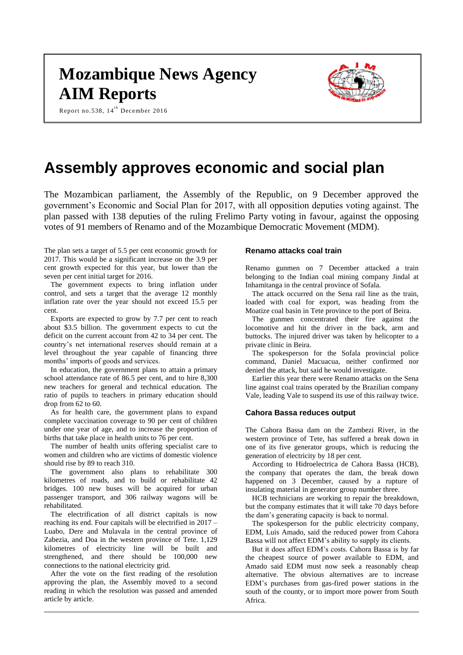# **Mozambique News Agency AIM Reports**

Report no.538,  $14^{th}$  December 2016



# **Assembly approves economic and social plan**

The Mozambican parliament, the Assembly of the Republic, on 9 December approved the government's Economic and Social Plan for 2017, with all opposition deputies voting against. The plan passed with 138 deputies of the ruling Frelimo Party voting in favour, against the opposing votes of 91 members of Renamo and of the Mozambique Democratic Movement (MDM).

The plan sets a target of 5.5 per cent economic growth for 2017. This would be a significant increase on the 3.9 per cent growth expected for this year, but lower than the seven per cent initial target for 2016.

The government expects to bring inflation under control, and sets a target that the average 12 monthly inflation rate over the year should not exceed 15.5 per cent.

Exports are expected to grow by 7.7 per cent to reach about \$3.5 billion. The government expects to cut the deficit on the current account from 42 to 34 per cent. The country's net international reserves should remain at a level throughout the year capable of financing three months' imports of goods and services.

In education, the government plans to attain a primary school attendance rate of 86.5 per cent, and to hire 8,300 new teachers for general and technical education. The ratio of pupils to teachers in primary education should drop from 62 to 60.

As for health care, the government plans to expand complete vaccination coverage to 90 per cent of children under one year of age, and to increase the proportion of births that take place in health units to 76 per cent.

The number of health units offering specialist care to women and children who are victims of domestic violence should rise by 89 to reach 310.

The government also plans to rehabilitate 300 kilometres of roads, and to build or rehabilitate 42 bridges. 100 new buses will be acquired for urban passenger transport, and 306 railway wagons will be rehabilitated.

The electrification of all district capitals is now reaching its end. Four capitals will be electrified in 2017 – Luabo, Dere and Mulavala in the central province of Zabezia, and Doa in the western province of Tete. 1,129 kilometres of electricity line will be built and strengthened, and there should be 100,000 new connections to the national electricity grid.

After the vote on the first reading of the resolution approving the plan, the Assembly moved to a second reading in which the resolution was passed and amended article by article.

#### **Renamo attacks coal train**

Renamo gunmen on 7 December attacked a train belonging to the Indian coal mining company Jindal at Inhamitanga in the central province of Sofala.

The attack occurred on the Sena rail line as the train, loaded with coal for export, was heading from the Moatize coal basin in Tete province to the port of Beira.

The gunmen concentrated their fire against the locomotive and hit the driver in the back, arm and buttocks. The injured driver was taken by helicopter to a private clinic in Beira.

The spokesperson for the Sofala provincial police command, Daniel Macuacua, neither confirmed nor denied the attack, but said he would investigate.

Earlier this year there were Renamo attacks on the Sena line against coal trains operated by the Brazilian company Vale, leading Vale to suspend its use of this railway twice.

#### **Cahora Bassa reduces output**

The Cahora Bassa dam on the Zambezi River, in the western province of Tete, has suffered a break down in one of its five generator groups, which is reducing the generation of electricity by 18 per cent.

According to Hidroelectrica de Cahora Bassa (HCB), the company that operates the dam, the break down happened on 3 December, caused by a rupture of insulating material in generator group number three.

HCB technicians are working to repair the breakdown, but the company estimates that it will take 70 days before the dam's generating capacity is back to normal.

The spokesperson for the public electricity company, EDM, Luis Amado, said the reduced power from Cahora Bassa will not affect EDM's ability to supply its clients.

But it does affect EDM's costs. Cahora Bassa is by far the cheapest source of power available to EDM, and Amado said EDM must now seek a reasonably cheap alternative. The obvious alternatives are to increase EDM's purchases from gas-fired power stations in the south of the county, or to import more power from South Africa.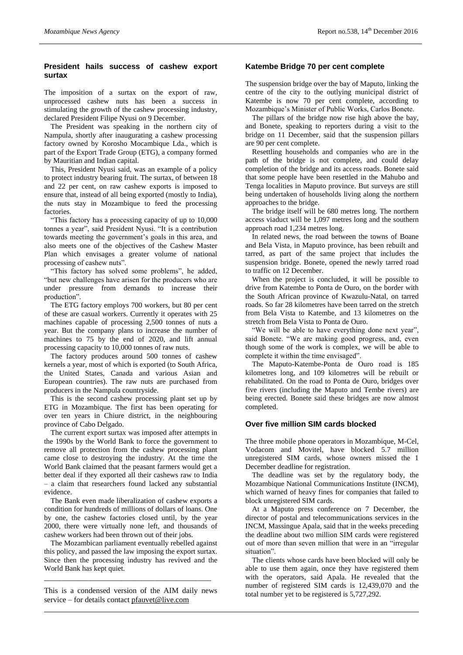# **President hails success of cashew export surtax**

The imposition of a surtax on the export of raw, unprocessed cashew nuts has been a success in stimulating the growth of the cashew processing industry, declared President Filipe Nyusi on 9 December.

The President was speaking in the northern city of Nampula, shortly after inaugurating a cashew processing factory owned by Korosho Mocambique Lda., which is part of the Export Trade Group (ETG), a company formed by Mauritian and Indian capital.

This, President Nyusi said, was an example of a policy to protect industry bearing fruit. The surtax, of between 18 and 22 per cent, on raw cashew exports is imposed to ensure that, instead of all being exported (mostly to India), the nuts stay in Mozambique to feed the processing **factories** 

"This factory has a processing capacity of up to 10,000 tonnes a year", said President Nyusi. "It is a contribution towards meeting the government's goals in this area, and also meets one of the objectives of the Cashew Master Plan which envisages a greater volume of national processing of cashew nuts".

"This factory has solved some problems", he added, "but new challenges have arisen for the producers who are under pressure from demands to increase their production".

The ETG factory employs 700 workers, but 80 per cent of these are casual workers. Currently it operates with 25 machines capable of processing 2,500 tonnes of nuts a year. But the company plans to increase the number of machines to 75 by the end of 2020, and lift annual processing capacity to 10,000 tonnes of raw nuts.

The factory produces around 500 tonnes of cashew kernels a year, most of which is exported (to South Africa, the United States, Canada and various Asian and European countries). The raw nuts are purchased from producers in the Nampula countryside.

This is the second cashew processing plant set up by ETG in Mozambique. The first has been operating for over ten years in Chiure district, in the neighbouring province of Cabo Delgado.

The current export surtax was imposed after attempts in the 1990s by the World Bank to force the government to remove all protection from the cashew processing plant came close to destroying the industry. At the time the World Bank claimed that the peasant farmers would get a better deal if they exported all their cashews raw to India – a claim that researchers found lacked any substantial evidence.

The Bank even made liberalization of cashew exports a condition for hundreds of millions of dollars of loans. One by one, the cashew factories closed until, by the year 2000, there were virtually none left, and thousands of cashew workers had been thrown out of their jobs.

The Mozambican parliament eventually rebelled against this policy, and passed the law imposing the export surtax. Since then the processing industry has revived and the World Bank has kept quiet.

This is a condensed version of the AIM daily news service – for details contact [pfauvet@live.com](mailto:pfauvet@live.com)

\_\_\_\_\_\_\_\_\_\_\_\_\_\_\_\_\_\_\_\_\_\_\_\_\_\_\_\_\_\_\_\_\_\_\_\_\_\_\_\_\_\_\_

# **Katembe Bridge 70 per cent complete**

The suspension bridge over the bay of Maputo, linking the centre of the city to the outlying municipal district of Katembe is now 70 per cent complete, according to Mozambique's Minister of Public Works, Carlos Bonete.

The pillars of the bridge now rise high above the bay, and Bonete, speaking to reporters during a visit to the bridge on 11 December, said that the suspension pillars are 90 per cent complete.

Resettling households and companies who are in the path of the bridge is not complete, and could delay completion of the bridge and its access roads. Bonete said that some people have been resettled in the Mahubo and Tenga localities in Maputo province. But surveys are still being undertaken of households living along the northern approaches to the bridge.

The bridge itself will be 680 metres long. The northern access viaduct will be 1,097 metres long and the southern approach road 1,234 metres long.

In related news, the road between the towns of Boane and Bela Vista, in Maputo province, has been rebuilt and tarred, as part of the same project that includes the suspension bridge. Bonete, opened the newly tarred road to traffic on 12 December.

When the project is concluded, it will be possible to drive from Katembe to Ponta de Ouro, on the border with the South African province of Kwazulu-Natal, on tarred roads. So far 28 kilometres have been tarred on the stretch from Bela Vista to Katembe, and 13 kilometres on the stretch from Bela Vista to Ponta de Ouro.

"We will be able to have everything done next year", said Bonete. "We are making good progress, and, even though some of the work is complex, we will be able to complete it within the time envisaged".

The Maputo-Katembe-Ponta de Ouro road is 185 kilometres long, and 109 kilometres will be rebuilt or rehabilitated. On the road to Ponta de Ouro, bridges over five rivers (including the Maputo and Tembe rivers) are being erected. Bonete said these bridges are now almost completed.

#### **Over five million SIM cards blocked**

The three mobile phone operators in Mozambique, M-Cel, Vodacom and Movitel, have blocked 5.7 million unregistered SIM cards, whose owners missed the 1 December deadline for registration.

The deadline was set by the regulatory body, the Mozambique National Communications Institute (INCM), which warned of heavy fines for companies that failed to block unregistered SIM cards.

At a Maputo press conference on 7 December, the director of postal and telecommunications services in the INCM, Massingue Apala, said that in the weeks preceding the deadline about two million SIM cards were registered out of more than seven million that were in an "irregular situation".

The clients whose cards have been blocked will only be able to use them again, once they have registered them with the operators, said Apala. He revealed that the number of registered SIM cards is 12,439,070 and the total number yet to be registered is 5,727,292.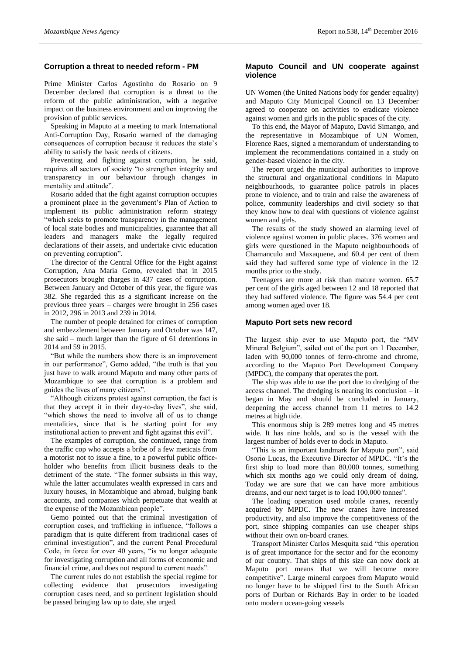# **Corruption a threat to needed reform - PM**

Prime Minister Carlos Agostinho do Rosario on 9 December declared that corruption is a threat to the reform of the public administration, with a negative impact on the business environment and on improving the provision of public services.

Speaking in Maputo at a meeting to mark International Anti-Corruption Day, Rosario warned of the damaging consequences of corruption because it reduces the state's ability to satisfy the basic needs of citizens.

Preventing and fighting against corruption, he said, requires all sectors of society "to strengthen integrity and transparency in our behaviour through changes in mentality and attitude".

Rosario added that the fight against corruption occupies a prominent place in the government's Plan of Action to implement its public administration reform strategy "which seeks to promote transparency in the management of local state bodies and municipalities, guarantee that all leaders and managers make the legally required declarations of their assets, and undertake civic education on preventing corruption".

The director of the Central Office for the Fight against Corruption, Ana Maria Gemo, revealed that in 2015 prosecutors brought charges in 437 cases of corruption. Between January and October of this year, the figure was 382. She regarded this as a significant increase on the previous three years – charges were brought in 256 cases in 2012, 296 in 2013 and 239 in 2014.

The number of people detained for crimes of corruption and embezzlement between January and October was 147, she said – much larger than the figure of 61 detentions in 2014 and 59 in 2015.

"But while the numbers show there is an improvement in our performance", Gemo added, "the truth is that you just have to walk around Maputo and many other parts of Mozambique to see that corruption is a problem and guides the lives of many citizens".

"Although citizens protest against corruption, the fact is that they accept it in their day-to-day lives", she said, "which shows the need to involve all of us to change mentalities, since that is he starting point for any institutional action to prevent and fight against this evil".

The examples of corruption, she continued, range from the traffic cop who accepts a bribe of a few meticais from a motorist not to issue a fine, to a powerful public officeholder who benefits from illicit business deals to the detriment of the state. "The former subsists in this way, while the latter accumulates wealth expressed in cars and luxury houses, in Mozambique and abroad, bulging bank accounts, and companies which perpetuate that wealth at the expense of the Mozambican people".

Gemo pointed out that the criminal investigation of corruption cases, and trafficking in influence, "follows a paradigm that is quite different from traditional cases of criminal investigation", and the current Penal Procedural Code, in force for over 40 years, "is no longer adequate for investigating corruption and all forms of economic and financial crime, and does not respond to current needs".

The current rules do not establish the special regime for collecting evidence that prosecutors investigating corruption cases need, and so pertinent legislation should be passed bringing law up to date, she urged.

## **Maputo Council and UN cooperate against violence**

UN Women (the United Nations body for gender equality) and Maputo City Municipal Council on 13 December agreed to cooperate on activities to eradicate violence against women and girls in the public spaces of the city.

To this end, the Mayor of Maputo, David Simango, and the representative in Mozambique of UN Women, Florence Raes, signed a memorandum of understanding to implement the recommendations contained in a study on gender-based violence in the city.

The report urged the municipal authorities to improve the structural and organizational conditions in Maputo neighbourhoods, to guarantee police patrols in places prone to violence, and to train and raise the awareness of police, community leaderships and civil society so that they know how to deal with questions of violence against women and girls.

The results of the study showed an alarming level of violence against women in public places. 376 women and girls were questioned in the Maputo neighbourhoods of Chamanculo and Maxaquene, and 60.4 per cent of them said they had suffered some type of violence in the 12 months prior to the study.

Teenagers are more at risk than mature women. 65.7 per cent of the girls aged between 12 and 18 reported that they had suffered violence. The figure was 54.4 per cent among women aged over 18.

# **Maputo Port sets new record**

The largest ship ever to use Maputo port, the "MV Mineral Belgium", sailed out of the port on 1 December, laden with 90,000 tonnes of ferro-chrome and chrome, according to the Maputo Port Development Company (MPDC), the company that operates the port.

The ship was able to use the port due to dredging of the access channel. The dredging is nearing its conclusion – it began in May and should be concluded in January, deepening the access channel from 11 metres to 14.2 metres at high tide.

This enormous ship is 289 metres long and 45 metres wide. It has nine holds, and so is the vessel with the largest number of holds ever to dock in Maputo.

"This is an important landmark for Maputo port", said Osorio Lucas, the Executive Director of MPDC. "It's the first ship to load more than 80,000 tonnes, something which six months ago we could only dream of doing. Today we are sure that we can have more ambitious dreams, and our next target is to load 100,000 tonnes".

The loading operation used mobile cranes, recently acquired by MPDC. The new cranes have increased productivity, and also improve the competitiveness of the port, since shipping companies can use cheaper ships without their own on-board cranes.

Transport Minister Carlos Mesquita said "this operation is of great importance for the sector and for the economy of our country. That ships of this size can now dock at Maputo port means that we will become more competitive". Large mineral cargoes from Maputo would no longer have to be shipped first to the South African ports of Durban or Richards Bay in order to be loaded onto modern ocean-going vessels